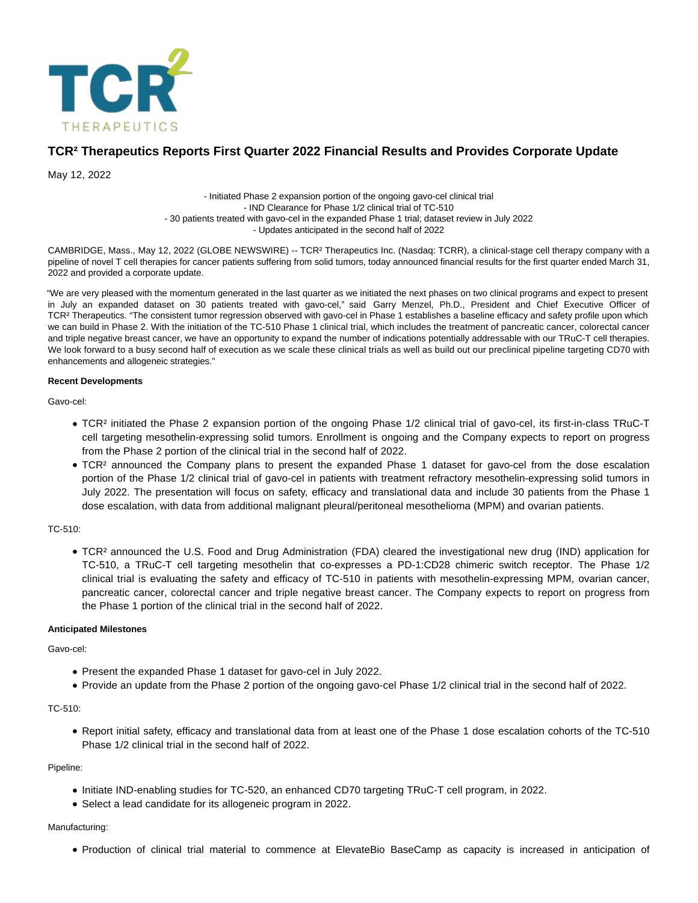

# **TCR² Therapeutics Reports First Quarter 2022 Financial Results and Provides Corporate Update**

May 12, 2022

- Initiated Phase 2 expansion portion of the ongoing gavo-cel clinical trial - IND Clearance for Phase 1/2 clinical trial of TC-510 - 30 patients treated with gavo-cel in the expanded Phase 1 trial; dataset review in July 2022 - Updates anticipated in the second half of 2022

CAMBRIDGE, Mass., May 12, 2022 (GLOBE NEWSWIRE) -- TCR² Therapeutics Inc. (Nasdaq: TCRR), a clinical-stage cell therapy company with a pipeline of novel T cell therapies for cancer patients suffering from solid tumors, today announced financial results for the first quarter ended March 31, 2022 and provided a corporate update.

"We are very pleased with the momentum generated in the last quarter as we initiated the next phases on two clinical programs and expect to present in July an expanded dataset on 30 patients treated with gavo-cel," said Garry Menzel, Ph.D., President and Chief Executive Officer of TCR² Therapeutics. "The consistent tumor regression observed with gavo-cel in Phase 1 establishes a baseline efficacy and safety profile upon which we can build in Phase 2. With the initiation of the TC-510 Phase 1 clinical trial, which includes the treatment of pancreatic cancer, colorectal cancer and triple negative breast cancer, we have an opportunity to expand the number of indications potentially addressable with our TRuC-T cell therapies. We look forward to a busy second half of execution as we scale these clinical trials as well as build out our preclinical pipeline targeting CD70 with enhancements and allogeneic strategies."

#### **Recent Developments**

Gavo-cel:

- TCR² initiated the Phase 2 expansion portion of the ongoing Phase 1/2 clinical trial of gavo-cel, its first-in-class TRuC-T cell targeting mesothelin-expressing solid tumors. Enrollment is ongoing and the Company expects to report on progress from the Phase 2 portion of the clinical trial in the second half of 2022.
- TCR² announced the Company plans to present the expanded Phase 1 dataset for gavo-cel from the dose escalation portion of the Phase 1/2 clinical trial of gavo-cel in patients with treatment refractory mesothelin-expressing solid tumors in July 2022. The presentation will focus on safety, efficacy and translational data and include 30 patients from the Phase 1 dose escalation, with data from additional malignant pleural/peritoneal mesothelioma (MPM) and ovarian patients.

#### TC-510:

TCR² announced the U.S. Food and Drug Administration (FDA) cleared the investigational new drug (IND) application for TC-510, a TRuC-T cell targeting mesothelin that co-expresses a PD-1:CD28 chimeric switch receptor. The Phase 1/2 clinical trial is evaluating the safety and efficacy of TC-510 in patients with mesothelin-expressing MPM, ovarian cancer, pancreatic cancer, colorectal cancer and triple negative breast cancer. The Company expects to report on progress from the Phase 1 portion of the clinical trial in the second half of 2022.

#### **Anticipated Milestones**

Gavo-cel:

- Present the expanded Phase 1 dataset for gavo-cel in July 2022.
- Provide an update from the Phase 2 portion of the ongoing gavo-cel Phase 1/2 clinical trial in the second half of 2022.

### TC-510:

Report initial safety, efficacy and translational data from at least one of the Phase 1 dose escalation cohorts of the TC-510 Phase 1/2 clinical trial in the second half of 2022.

#### Pipeline:

- Initiate IND-enabling studies for TC-520, an enhanced CD70 targeting TRuC-T cell program, in 2022.
- Select a lead candidate for its allogeneic program in 2022.

## Manufacturing:

Production of clinical trial material to commence at ElevateBio BaseCamp as capacity is increased in anticipation of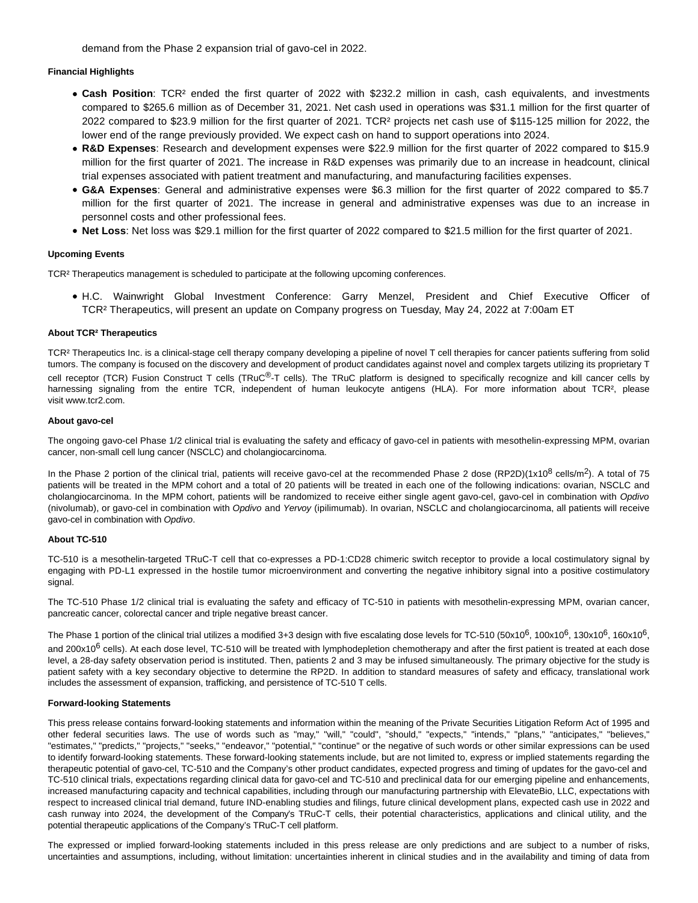demand from the Phase 2 expansion trial of gavo-cel in 2022.

#### **Financial Highlights**

- **Cash Position**: TCR² ended the first quarter of 2022 with \$232.2 million in cash, cash equivalents, and investments compared to \$265.6 million as of December 31, 2021. Net cash used in operations was \$31.1 million for the first quarter of 2022 compared to \$23.9 million for the first quarter of 2021. TCR² projects net cash use of \$115-125 million for 2022, the lower end of the range previously provided. We expect cash on hand to support operations into 2024.
- **R&D Expenses**: Research and development expenses were \$22.9 million for the first quarter of 2022 compared to \$15.9 million for the first quarter of 2021. The increase in R&D expenses was primarily due to an increase in headcount, clinical trial expenses associated with patient treatment and manufacturing, and manufacturing facilities expenses.
- **G&A Expenses**: General and administrative expenses were \$6.3 million for the first quarter of 2022 compared to \$5.7 million for the first quarter of 2021. The increase in general and administrative expenses was due to an increase in personnel costs and other professional fees.
- **Net Loss**: Net loss was \$29.1 million for the first quarter of 2022 compared to \$21.5 million for the first quarter of 2021.

#### **Upcoming Events**

TCR² Therapeutics management is scheduled to participate at the following upcoming conferences.

H.C. Wainwright Global Investment Conference: Garry Menzel, President and Chief Executive Officer of TCR² Therapeutics, will present an update on Company progress on Tuesday, May 24, 2022 at 7:00am ET

#### **About TCR² Therapeutics**

TCR² Therapeutics Inc. is a clinical-stage cell therapy company developing a pipeline of novel T cell therapies for cancer patients suffering from solid tumors. The company is focused on the discovery and development of product candidates against novel and complex targets utilizing its proprietary T cell receptor (TCR) Fusion Construct T cells (TRuC®-T cells). The TRuC platform is designed to specifically recognize and kill cancer cells by harnessing signaling from the entire TCR, independent of human leukocyte antigens (HLA). For more information about TCR<sup>2</sup>, please visit www.tcr2.com.

#### **About gavo-cel**

The ongoing gavo-cel Phase 1/2 clinical trial is evaluating the safety and efficacy of gavo-cel in patients with mesothelin-expressing MPM, ovarian cancer, non-small cell lung cancer (NSCLC) and cholangiocarcinoma.

In the Phase 2 portion of the clinical trial, patients will receive gavo-cel at the recommended Phase 2 dose (RP2D)(1x10<sup>8</sup> cells/m<sup>2</sup>). A total of 75 patients will be treated in the MPM cohort and a total of 20 patients will be treated in each one of the following indications: ovarian, NSCLC and cholangiocarcinoma. In the MPM cohort, patients will be randomized to receive either single agent gavo-cel, gavo-cel in combination with Opdivo (nivolumab), or gavo-cel in combination with Opdivo and Yervoy (ipilimumab). In ovarian, NSCLC and cholangiocarcinoma, all patients will receive gavo-cel in combination with Opdivo.

### **About TC-510**

TC-510 is a mesothelin-targeted TRuC-T cell that co-expresses a PD-1:CD28 chimeric switch receptor to provide a local costimulatory signal by engaging with PD-L1 expressed in the hostile tumor microenvironment and converting the negative inhibitory signal into a positive costimulatory signal.

The TC-510 Phase 1/2 clinical trial is evaluating the safety and efficacy of TC-510 in patients with mesothelin-expressing MPM, ovarian cancer, pancreatic cancer, colorectal cancer and triple negative breast cancer.

The Phase 1 portion of the clinical trial utilizes a modified 3+3 design with five escalating dose levels for TC-510 (50x10<sup>6</sup>, 100x10<sup>6</sup>, 130x10<sup>6</sup>, 160x10<sup>6</sup>, and 200x10<sup>6</sup> cells). At each dose level, TC-510 will be treated with lymphodepletion chemotherapy and after the first patient is treated at each dose level, a 28-day safety observation period is instituted. Then, patients 2 and 3 may be infused simultaneously. The primary objective for the study is patient safety with a key secondary objective to determine the RP2D. In addition to standard measures of safety and efficacy, translational work includes the assessment of expansion, trafficking, and persistence of TC-510 T cells.

#### **Forward-looking Statements**

This press release contains forward-looking statements and information within the meaning of the Private Securities Litigation Reform Act of 1995 and other federal securities laws. The use of words such as "may," "will," "could", "should," "expects," "intends," "plans," "anticipates," "believes," "estimates," "predicts," "projects," "seeks," "endeavor," "potential," "continue" or the negative of such words or other similar expressions can be used to identify forward-looking statements. These forward-looking statements include, but are not limited to, express or implied statements regarding the therapeutic potential of gavo-cel, TC-510 and the Company's other product candidates, expected progress and timing of updates for the gavo-cel and TC-510 clinical trials, expectations regarding clinical data for gavo-cel and TC-510 and preclinical data for our emerging pipeline and enhancements, increased manufacturing capacity and technical capabilities, including through our manufacturing partnership with ElevateBio, LLC, expectations with respect to increased clinical trial demand, future IND-enabling studies and filings, future clinical development plans, expected cash use in 2022 and cash runway into 2024, the development of the Company's TRuC-T cells, their potential characteristics, applications and clinical utility, and the potential therapeutic applications of the Company's TRuC-T cell platform.

The expressed or implied forward-looking statements included in this press release are only predictions and are subject to a number of risks, uncertainties and assumptions, including, without limitation: uncertainties inherent in clinical studies and in the availability and timing of data from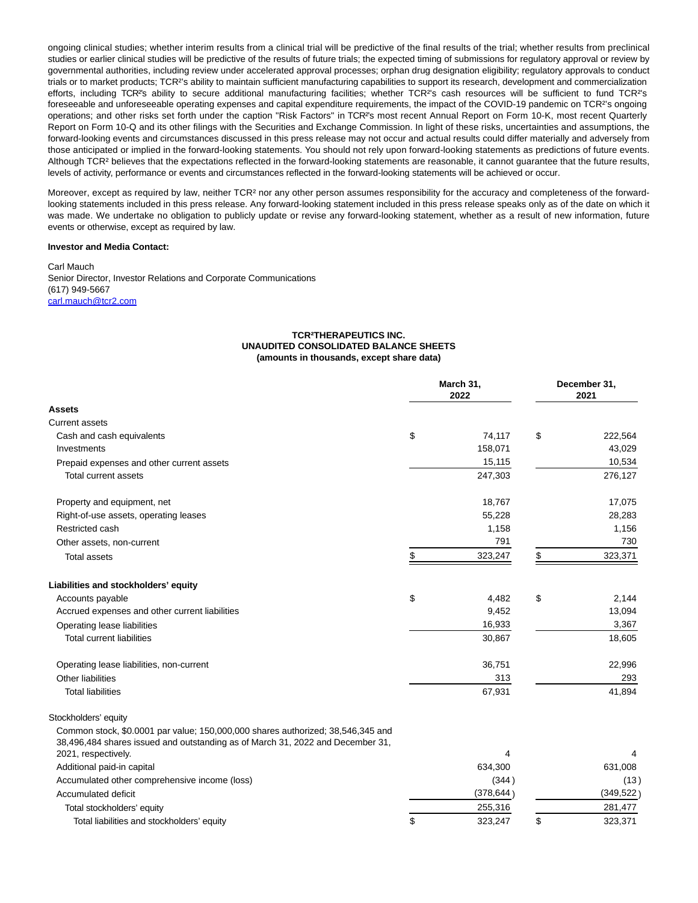ongoing clinical studies; whether interim results from a clinical trial will be predictive of the final results of the trial; whether results from preclinical studies or earlier clinical studies will be predictive of the results of future trials; the expected timing of submissions for regulatory approval or review by governmental authorities, including review under accelerated approval processes; orphan drug designation eligibility; regulatory approvals to conduct trials or to market products; TCR²'s ability to maintain sufficient manufacturing capabilities to support its research, development and commercialization efforts, including TCR²'s ability to secure additional manufacturing facilities; whether TCR²'s cash resources will be sufficient to fund TCR²'s foreseeable and unforeseeable operating expenses and capital expenditure requirements, the impact of the COVID-19 pandemic on TCR²'s ongoing operations; and other risks set forth under the caption "Risk Factors" in TCR²'s most recent Annual Report on Form 10-K, most recent Quarterly Report on Form 10-Q and its other filings with the Securities and Exchange Commission. In light of these risks, uncertainties and assumptions, the forward-looking events and circumstances discussed in this press release may not occur and actual results could differ materially and adversely from those anticipated or implied in the forward-looking statements. You should not rely upon forward-looking statements as predictions of future events. Although TCR<sup>2</sup> believes that the expectations reflected in the forward-looking statements are reasonable, it cannot guarantee that the future results, levels of activity, performance or events and circumstances reflected in the forward-looking statements will be achieved or occur.

Moreover, except as required by law, neither TCR² nor any other person assumes responsibility for the accuracy and completeness of the forwardlooking statements included in this press release. Any forward-looking statement included in this press release speaks only as of the date on which it was made. We undertake no obligation to publicly update or revise any forward-looking statement, whether as a result of new information, future events or otherwise, except as required by law.

#### **Investor and Media Contact:**

Carl Mauch Senior Director, Investor Relations and Corporate Communications (617) 949-5667 [carl.mauch@tcr2.com](mailto:carl.mauch@tcr2.com)

#### **TCR²THERAPEUTICS INC. UNAUDITED CONSOLIDATED BALANCE SHEETS (amounts in thousands, except share data)**

|                                                                                                                                                                   |    | March 31,<br>2022 |    | December 31,<br>2021 |  |
|-------------------------------------------------------------------------------------------------------------------------------------------------------------------|----|-------------------|----|----------------------|--|
| <b>Assets</b>                                                                                                                                                     |    |                   |    |                      |  |
| Current assets                                                                                                                                                    |    |                   |    |                      |  |
| Cash and cash equivalents                                                                                                                                         | \$ | 74,117            | \$ | 222,564              |  |
| Investments                                                                                                                                                       |    | 158,071           |    | 43,029               |  |
| Prepaid expenses and other current assets                                                                                                                         |    | 15,115            |    | 10,534               |  |
| <b>Total current assets</b>                                                                                                                                       |    | 247,303           |    | 276,127              |  |
| Property and equipment, net                                                                                                                                       |    | 18,767            |    | 17,075               |  |
| Right-of-use assets, operating leases                                                                                                                             |    | 55,228            |    | 28,283               |  |
| Restricted cash                                                                                                                                                   |    | 1,158             |    | 1,156                |  |
| Other assets, non-current                                                                                                                                         |    | 791               |    | 730                  |  |
| <b>Total assets</b>                                                                                                                                               | \$ | 323,247           | \$ | 323,371              |  |
| Liabilities and stockholders' equity                                                                                                                              |    |                   |    |                      |  |
| Accounts payable                                                                                                                                                  | \$ | 4,482             | \$ | 2,144                |  |
| Accrued expenses and other current liabilities                                                                                                                    |    | 9,452             |    | 13,094               |  |
| Operating lease liabilities                                                                                                                                       |    | 16,933            |    | 3,367                |  |
| <b>Total current liabilities</b>                                                                                                                                  |    | 30,867            |    | 18,605               |  |
| Operating lease liabilities, non-current                                                                                                                          |    | 36,751            |    | 22,996               |  |
| Other liabilities                                                                                                                                                 |    | 313               |    | 293                  |  |
| <b>Total liabilities</b>                                                                                                                                          |    | 67,931            |    | 41,894               |  |
| Stockholders' equity                                                                                                                                              |    |                   |    |                      |  |
| Common stock, \$0.0001 par value; 150,000,000 shares authorized; 38,546,345 and<br>38,496,484 shares issued and outstanding as of March 31, 2022 and December 31, |    |                   |    |                      |  |
| 2021, respectively.                                                                                                                                               |    | 4                 |    |                      |  |
| Additional paid-in capital                                                                                                                                        |    | 634,300           |    | 631,008              |  |
| Accumulated other comprehensive income (loss)                                                                                                                     |    | (344)             |    | (13)                 |  |
| Accumulated deficit                                                                                                                                               |    | (378, 644)        |    | (349, 522)           |  |
| Total stockholders' equity                                                                                                                                        |    | 255,316           |    | 281,477              |  |
| Total liabilities and stockholders' equity                                                                                                                        | \$ | 323,247           | \$ | 323,371              |  |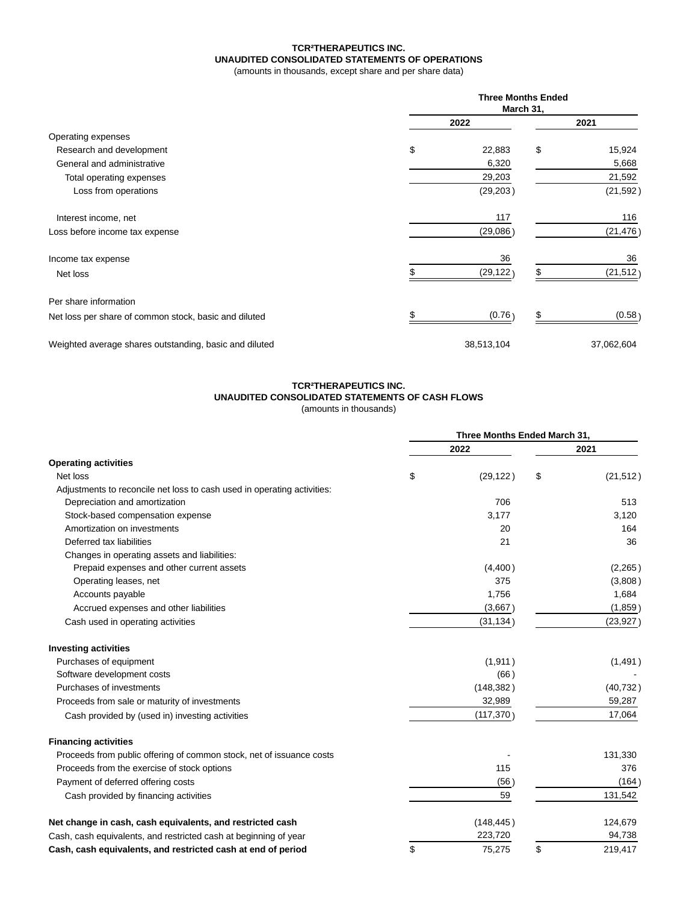## **TCR²THERAPEUTICS INC. UNAUDITED CONSOLIDATED STATEMENTS OF OPERATIONS**

(amounts in thousands, except share and per share data)

|                                                        | <b>Three Months Ended</b><br>March 31, |    |            |  |
|--------------------------------------------------------|----------------------------------------|----|------------|--|
|                                                        | 2022                                   |    | 2021       |  |
| Operating expenses                                     |                                        |    |            |  |
| Research and development                               | \$<br>22,883                           | \$ | 15,924     |  |
| General and administrative                             | 6,320                                  |    | 5,668      |  |
| Total operating expenses                               | 29,203                                 |    | 21,592     |  |
| Loss from operations                                   | (29, 203)                              |    | (21, 592)  |  |
| Interest income, net                                   | 117                                    |    | 116        |  |
| Loss before income tax expense                         | (29,086)                               |    | (21, 476)  |  |
| Income tax expense                                     | 36                                     |    | 36         |  |
| Net loss                                               | (29, 122)                              |    | (21, 512)  |  |
| Per share information                                  |                                        |    |            |  |
| Net loss per share of common stock, basic and diluted  | (0.76)                                 | \$ | (0.58)     |  |
| Weighted average shares outstanding, basic and diluted | 38,513,104                             |    | 37,062,604 |  |

#### **TCR²THERAPEUTICS INC. UNAUDITED CONSOLIDATED STATEMENTS OF CASH FLOWS**

(amounts in thousands)

|                                                                         | Three Months Ended March 31, |            |      |           |
|-------------------------------------------------------------------------|------------------------------|------------|------|-----------|
|                                                                         | 2022                         |            | 2021 |           |
| <b>Operating activities</b>                                             |                              |            |      |           |
| Net loss                                                                | \$                           | (29, 122)  | \$   | (21, 512) |
| Adjustments to reconcile net loss to cash used in operating activities: |                              |            |      |           |
| Depreciation and amortization                                           |                              | 706        |      | 513       |
| Stock-based compensation expense                                        |                              | 3.177      |      | 3.120     |
| Amortization on investments                                             |                              | 20         |      | 164       |
| Deferred tax liabilities                                                |                              | 21         |      | 36        |
| Changes in operating assets and liabilities:                            |                              |            |      |           |
| Prepaid expenses and other current assets                               |                              | (4,400)    |      | (2, 265)  |
| Operating leases, net                                                   |                              | 375        |      | (3,808)   |
| Accounts payable                                                        |                              | 1,756      |      | 1,684     |
| Accrued expenses and other liabilities                                  |                              | (3,667)    |      | (1,859)   |
| Cash used in operating activities                                       |                              | (31, 134)  |      | (23, 927) |
| <b>Investing activities</b>                                             |                              |            |      |           |
| Purchases of equipment                                                  |                              | (1, 911)   |      | (1,491)   |
| Software development costs                                              |                              | (66)       |      |           |
| Purchases of investments                                                |                              | (148, 382) |      | (40, 732) |
| Proceeds from sale or maturity of investments                           |                              | 32,989     |      | 59,287    |
| Cash provided by (used in) investing activities                         |                              | (117, 370) |      | 17,064    |
| <b>Financing activities</b>                                             |                              |            |      |           |
| Proceeds from public offering of common stock, net of issuance costs    |                              |            |      | 131,330   |
| Proceeds from the exercise of stock options                             |                              | 115        |      | 376       |
| Payment of deferred offering costs                                      |                              | (56)       |      | (164)     |
| Cash provided by financing activities                                   |                              | 59         |      | 131,542   |
| Net change in cash, cash equivalents, and restricted cash               |                              | (148, 445) |      | 124,679   |
| Cash, cash equivalents, and restricted cash at beginning of year        |                              | 223,720    |      | 94,738    |
| Cash, cash equivalents, and restricted cash at end of period            | \$                           | 75,275     | \$   | 219,417   |